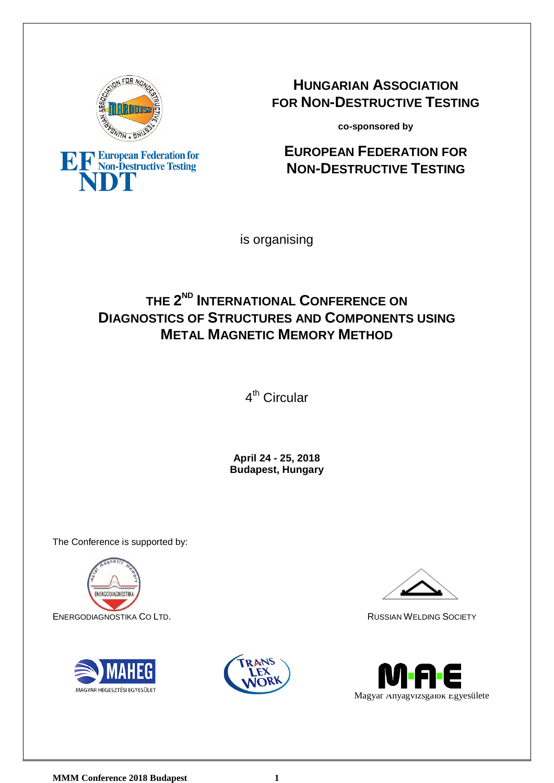

EF European Federation for

**HUNGARIAN ASSOCIATION FOR NON-DESTRUCTIVE TESTING**

**co-sponsored by**

# **EUROPEAN FEDERATION FOR NON-DESTRUCTIVE TESTING**

is organising

# **THE 2ND INTERNATIONAL CONFERENCE ON DIAGNOSTICS OF STRUCTURES AND COMPONENTS USING METAL MAGNETIC MEMORY METHOD**

4<sup>th</sup> Circular

**April 24 - 25, 2018 Budapest, Hungary**

The Conference is supported by:









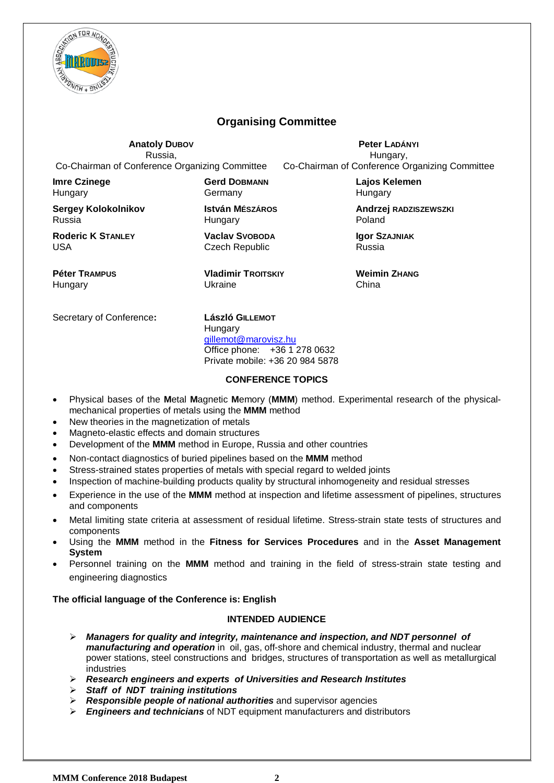

## **Organising Committee**

**Anatoly DUBOV** Russia, Co-Chairman of Conference Organizing Committee

**Peter LADÁNYI** Hungary, Co-Chairman of Conference Organizing Committee

**Imre Czinege Hungary** 

**Sergey Kolokolnikov** Russia

**Roderic K STANLEY** USA

**Péter TRAMPUS Hungary** 

**Gerd DOBMANN** Germany

**István MÉSZÁROS Hungary** 

**Vaclav SVOBODA** Czech Republic

**Vladimir TROITSKIY** Ukraine

**Lajos Kelemen Hungary** 

**Andrzej RADZISZEWSZKI** Poland

**Igor SZAJNIAK** Russia

**Weimin ZHANG** China

Secretary of Conference**: László GILLEMOT**

**Hungary** [gillemot@marovisz.hu](mailto:gillemot@marovisz.hu) Office phone: +36 1 278 0632 Private mobile: +36 20 984 5878

#### **CONFERENCE TOPICS**

- Physical bases of the **M**etal **M**agnetic **M**emory (**MMM**) method. Experimental research of the physicalmechanical properties of metals using the **MMM** method
- New theories in the magnetization of metals
- Magneto-elastic effects and domain structures
- Development of the **MMM** method in Europe, Russia and other countries
- Non-contact diagnostics of buried pipelines based on the **MMM** method
- Stress-strained states properties of metals with special regard to welded joints
- Inspection of machine-building products quality by structural inhomogeneity and residual stresses
- Experience in the use of the **MMM** method at inspection and lifetime assessment of pipelines, structures and components
- Metal limiting state criteria at assessment of residual lifetime. Stress-strain state tests of structures and components
- Using the **MMM** method in the **Fitness for Services Procedures** and in the **Asset Management System**
- Personnel training on the **MMM** method and training in the field of stress-strain state testing and engineering diagnostics

#### **The official language of the Conference is: English**

### **INTENDED AUDIENCE**

- *Managers for quality and integrity, maintenance and inspection, and NDT personnel of manufacturing and operation* in oil, gas, off-shore and chemical industry, thermal and nuclear power stations, steel constructions and bridges, structures of transportation as well as metallurgical industries
- *Research engineers and experts of Universities and Research Institutes*
- *Staff of NDT training institutions*
- *Responsible people of national authorities* and supervisor agencies
- *Engineers and technicians* of NDT equipment manufacturers and distributors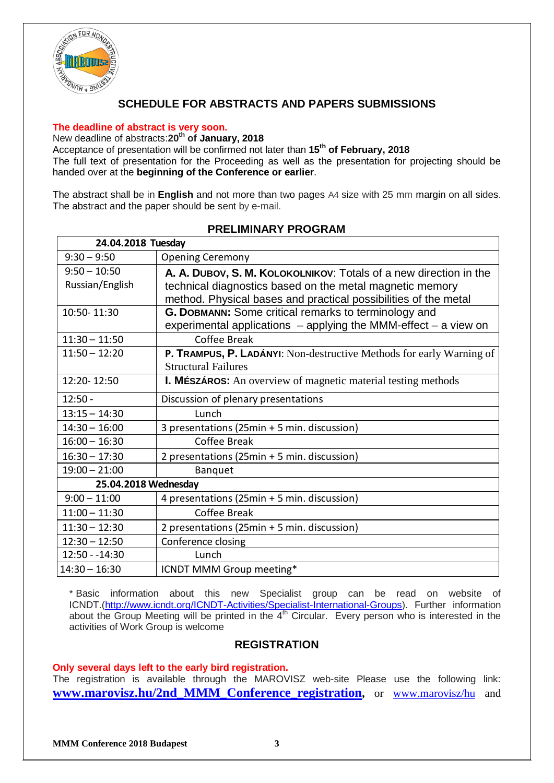

## **SCHEDULE FOR ABSTRACTS AND PAPERS SUBMISSIONS**

#### **The deadline of abstract is very soon.**

New deadline of abstracts:**20th of January, 2018**

Acceptance of presentation will be confirmed not later than **15th of February, 2018** The full text of presentation for the Proceeding as well as the presentation for projecting should be handed over at the **beginning of the Conference or earlier**.

The abstract shall be in **English** and not more than two pages A4 size with 25 mm margin on all sides. The abstract and the paper should be sent by e-mail.

| 24.04.2018 Tuesday   |                                                                      |
|----------------------|----------------------------------------------------------------------|
| $9:30 - 9:50$        | <b>Opening Ceremony</b>                                              |
| $9:50 - 10:50$       | A. A. DUBOV, S. M. KOLOKOLNIKOV: Totals of a new direction in the    |
| Russian/English      | technical diagnostics based on the metal magnetic memory             |
|                      | method. Physical bases and practical possibilities of the metal      |
| 10:50-11:30          | <b>G. DOBMANN:</b> Some critical remarks to terminology and          |
|                      | experimental applications $-$ applying the MMM-effect $-$ a view on  |
| $11:30 - 11:50$      | Coffee Break                                                         |
| $11:50 - 12:20$      | P. TRAMPUS, P. LADÁNYI: Non-destructive Methods for early Warning of |
|                      | <b>Structural Failures</b>                                           |
| 12:20-12:50          | <b>I. MÉSZÁROS:</b> An overview of magnetic material testing methods |
| $12:50 -$            | Discussion of plenary presentations                                  |
| $13:15 - 14:30$      | Lunch                                                                |
| $14:30 - 16:00$      | 3 presentations (25min + 5 min. discussion)                          |
| $16:00 - 16:30$      | Coffee Break                                                         |
| $16:30 - 17:30$      | 2 presentations (25min + 5 min. discussion)                          |
| $19:00 - 21:00$      | <b>Banquet</b>                                                       |
| 25.04.2018 Wednesday |                                                                      |
| $9:00 - 11:00$       | 4 presentations (25min + 5 min. discussion)                          |
| $11:00 - 11:30$      | Coffee Break                                                         |
| $11:30 - 12:30$      | 2 presentations (25min + 5 min. discussion)                          |
| $12:30 - 12:50$      | Conference closing                                                   |
| 12:50 - - 14:30      | Lunch                                                                |
| $14:30 - 16:30$      | ICNDT MMM Group meeting*                                             |

### **PRELIMINARY PROGRAM**

\* Basic information about this new Specialist group can be read on website of ICNDT.[\(http://www.icndt.org/ICNDT-Activities/Specialist-International-Groups\)](http://www.icndt.org/ICNDT-Activities/Specialist-International-Groups). Further information about the Group Meeting will be printed in the 4<sup>th</sup> Circular. Every person who is interested in the activities of Work Group is welcome

### **REGISTRATION**

#### **Only several days left to the early bird registration.**

The registration is available through the MAROVISZ web-site Please use the following link: **[www.marovisz.hu/2nd\\_MMM\\_Conference\\_registration,](https://docs.google.com/forms/d/e/1FAIpQLScA9KIeHybKnY6XwgeX6vItoFLS3askz6mwnehSluW3CvY_vw/viewform)** or [www.marovisz/hu](http://www.marovisz/hu) and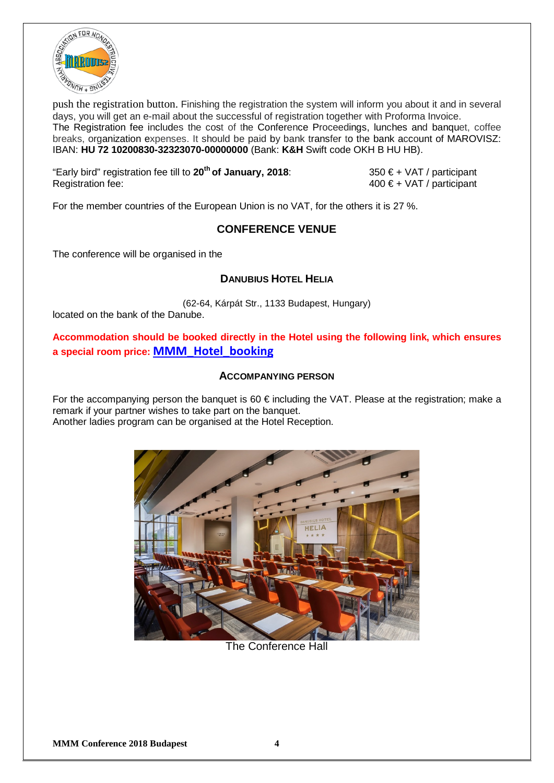

push the registration button. Finishing the registration the system will inform you about it and in several days, you will get an e-mail about the successful of registration together with Proforma Invoice. The Registration fee includes the cost of the Conference Proceedings, lunches and banquet, coffee breaks, organization expenses. It should be paid by bank transfer to the bank account of MAROVISZ: IBAN: **HU 72 10200830-32323070-00000000** (Bank: **K&H** Swift code OKH B HU HB).

"Early bird" registration fee till to 20<sup>th</sup> of January, 2018:  $350 \text{ } \in$  + VAT / participant<br>Registration fee: 400 € + VAT / participant

 $400 \epsilon + \text{VAT}$  / participant

For the member countries of the European Union is no VAT, for the others it is 27 %.

## **CONFERENCE VENUE**

The conference will be organised in the

## **DANUBIUS HOTEL HELIA**

(62-64, Kárpát Str., 1133 Budapest, Hungary) located on the bank of the Danube.

**Accommodation should be booked directly in the Hotel using the following link, which ensures a special room price: [MMM\\_Hotel\\_booking](https://booking.danubiushotels.com/ibe/details.aspx?propertyid=14787&nights=1&checkin=04/21/2018&group=MAG230518)**

### **ACCOMPANYING PERSON**

For the accompanying person the banquet is 60  $\epsilon$  including the VAT. Please at the registration; make a remark if your partner wishes to take part on the banquet. Another ladies program can be organised at the Hotel Reception.



The Conference Hall